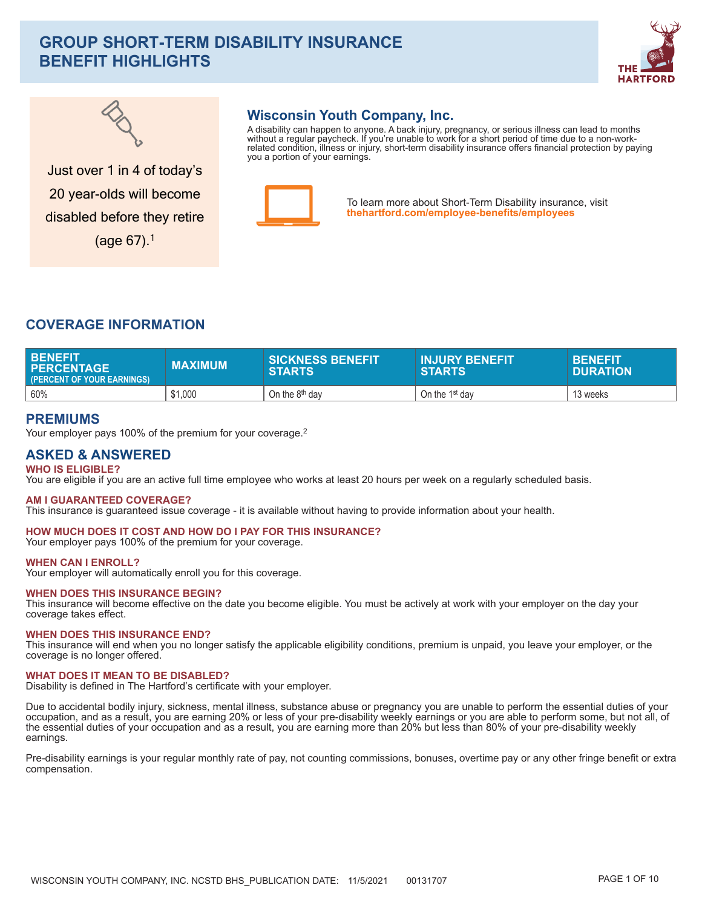# **GROUP SHORT-TERM DISABILITY INSURANCE BENEFIT HIGHLIGHTS**





# **Wisconsin Youth Company, Inc.**

A disability can happen to anyone. A back injury, pregnancy, or serious illness can lead to months<br>without a regular paycheck. If you're unable to work for a short period of time due to a non-workrelated condition, illness or injury, short-term disability insurance offers financial protection by paying you a portion of your earnings.



To learn more about Short-Term Disability insurance, visit thehartford.com/employee-benefits/employees

Just over 1 in 4 of today's 20 year-olds will become disabled before they retire  $(aae 67).<sup>1</sup>$ 

# **COVERAGE INFORMATION**

| I BENEFIT<br><b>I PERCENTAGE</b><br>(PERCENT OF YOUR EARNINGS) | <b>MAXIMUM</b> | <b>SICKNESS BENEFIT</b><br><b>STARTS</b> | <b>INJURY BENEFIT</b><br><b>STARTS</b> | <b>BENEFITA</b><br><b>DURATION</b> |
|----------------------------------------------------------------|----------------|------------------------------------------|----------------------------------------|------------------------------------|
| 60%                                                            | \$1,000        | On the 8 <sup>th</sup> dav               | On the 1 <sup>st</sup> day             | 13 weeks                           |

# **PREMIUMS**

Your employer pays 100% of the premium for your coverage.<sup>2</sup>

# **ASKED & ANSWERED WHO IS ELIGIBLE?**

You are eligible if you are an active full time employee who works at least 20 hours per week on a regularly scheduled basis.

## **AM I GUARANTEED COVERAGE?**

This insurance is quaranteed issue coverage - it is available without having to provide information about your health.

#### HOW MUCH DOES IT COST AND HOW DO I PAY FOR THIS INSURANCE? Your employer pays 100% of the premium for your coverage.

## **WHEN CAN I ENROLL?**

Your employer will automatically enroll you for this coverage.

## **WHEN DOES THIS INSURANCE BEGIN?**

This insurance will become effective on the date you become eligible. You must be actively at work with your employer on the day your coverage takes effect.

## **WHEN DOES THIS INSURANCE END?**

This insurance will end when you no longer satisfy the applicable eligibility conditions, premium is unpaid, you leave your employer, or the coverage is no longer offered.

### **WHAT DOES IT MEAN TO BE DISABLED?**

Disability is defined in The Hartford's certificate with your employer.

Due to accidental bodily injury, sickness, mental illness, substance abuse or pregnancy you are unable to perform the essential duties of your occupation, and as a result, you are earning 20% or less of your pre-disability weekly earnings or you are able to perform some, but not all, of the essential duties of your occupation and as a result, you are earning more than 20% but less than 80% of your pre-disability weekly earnings.

Pre-disability earnings is your regular monthly rate of pay, not counting commissions, bonuses, overtime pay or any other fringe benefit or extra compensation.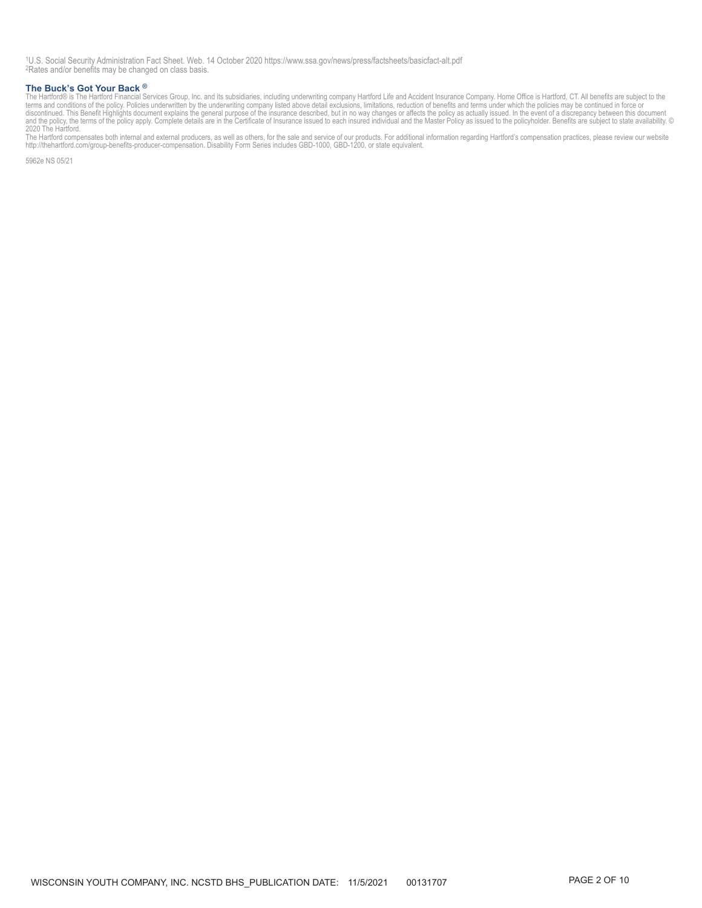1U.S. Social Security Administration Fact Sheet. Web. 14 October 2020 https://www.ssa.gov/news/press/factsheets/basicfact-alt.pdf ^2Rates and/or benefits may be changed on class basis.

#### **The Buck's Got Your Back ®**

The Buck's Got Your Back <sup>®</sup><br>The Hartford® is The Hartford Financial Services Group, Inc. and its subsidiaries, including underwriting company Hartford Life and Accident Insurance Company. Home Office is Hartford, CT. All

2020 The Hartford.<br>The Hartford compensates both internal and external producers, as well as others, for the sale and service of our products. For additional information regarding Hartford's compensation practices, please

5962e NS 05/21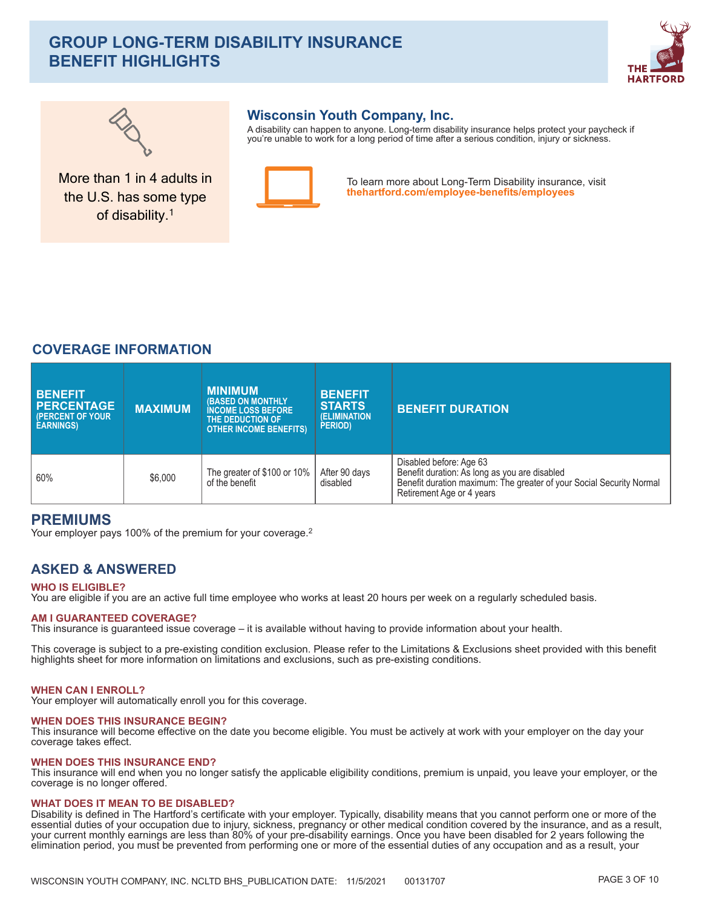# **GROUP LONG-TERM DISABILITY INSURANCE BENEFIT HIGHLIGHTS**





More than 1 in 4 adults in

the U.S. has some type of disability.<sup>1</sup>

# **Wisconsin Youth Company, Inc.**

A disability can happen to anyone. Long-term disability insurance helps protect your paycheck if you're unable to work for a long period of time after a serious condition, injury or sickness.



To learn more about Long-Term Disability insurance, visit thehartford.com/employee-benefits/employees

# **COVERAGE INFORMATION**

| <b>BENEFIT</b><br><b>PERCENTAGE</b><br><b>(PERCENT OF YOUR)</b><br><b>EARNINGS)</b> | <b>MAXIMUM</b> | <b>MINIMUM</b><br><b>(BASED ON MONTHLY)</b><br><b>INCOME LOSS BEFORE</b><br><b>THE DEDUCTION OF ,</b><br><b>OTHER INCOME BENEFITS)</b> | <b>BENEFIT</b><br><b>STARTS</b><br><b>(ELIMINATION)</b><br>PERIOD) | <b>BENEFIT DURATION</b>                                                                                                                                                       |
|-------------------------------------------------------------------------------------|----------------|----------------------------------------------------------------------------------------------------------------------------------------|--------------------------------------------------------------------|-------------------------------------------------------------------------------------------------------------------------------------------------------------------------------|
| 60%                                                                                 | \$6,000        | The greater of \$100 or 10%<br>of the benefit                                                                                          | After 90 days<br>disabled                                          | Disabled before: Age 63<br>Benefit duration: As long as you are disabled<br>Benefit duration maximum: The greater of your Social Security Normal<br>Retirement Age or 4 years |

# **PREMIUMS**

Your employer pays 100% of the premium for your coverage.<sup>2</sup>

# **ASKED & ANSWERED**

## **WHO IS ELIGIBLE?**

You are eligible if you are an active full time employee who works at least 20 hours per week on a regularly scheduled basis.

### **AM I GUARANTEED COVERAGE?**

This insurance is guaranteed issue coverage – it is available without having to provide information about your health.

This coverage is subject to a pre-existing condition exclusion. Please refer to the Limitations & Exclusions sheet provided with this benefit highlights sheet for more information on limitations and exclusions, such as pre-existing conditions.

## **WHEN CAN I ENROLL?**

Your employer will automatically enroll you for this coverage.

### **WHEN DOES THIS INSURANCE BEGIN?**

This insurance will become effective on the date you become eligible. You must be actively at work with your employer on the day your coverage takes effect.

### **WHEN DOES THIS INSURANCE END?**

This insurance will end when you no longer satisfy the applicable eligibility conditions, premium is unpaid, you leave your employer, or the coverage is no longer offered.

### **WHAT DOES IT MEAN TO BE DISABLED?**

Disability is defined in The Hartford's certificate with your employer. Typically, disability means that you cannot perform one or more of the essential duties of your occupation due to injury, sickness, pregnancy or other medical condition covered by the insurance, and as a result, your current monthly earnings are less than 80% of your pre-disability earnings. elimination period, you must be prevented from performing one or more of the essential duties of any occupation and as a result, your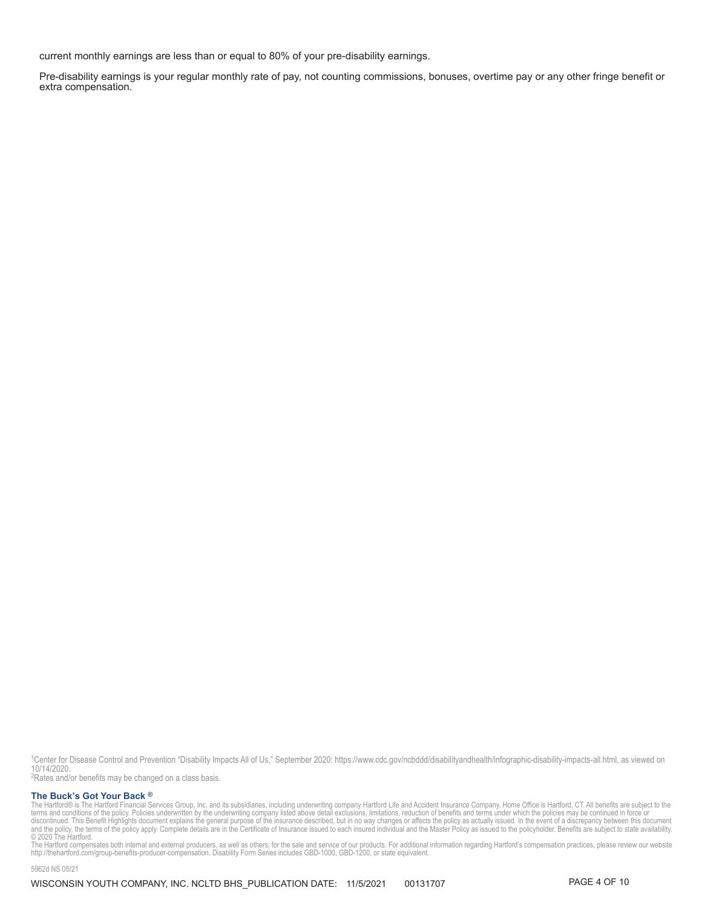current monthly earnings are less than or equal to 80% of your pre-disability earnings.

Pre-disability earnings is your regular monthly rate of pay, not counting commissions, bonuses, overtime pay or any other fringe benefit or extra compensation.

1Center for Disease Control and Prevention "Disability Impacts All of Us," September 2020: https://www.cdc.gov/ncbddd/disabilityandhealth/infographic-disability-impacts-all.html, as viewed on 10/14/2020

<sup>2</sup>Rates and/or benefits may be changed on a class basis.

### **The Buck's Got Your Back ®**

The Buck's Got Your Back ®<br>The Hartford® is The Hartford Financial Services Group, Inc. and its subsidiaries, including underwriting company Hartford Life and Accident Insurance Company. Home Office is Hartford, CT. All be

© 2020 The Hartford.<br>The Hartford compensates both internal and external producers, as well as others, for the sale and service of our products. For additional information regarding Hartford's compensation practices, plea

5962d NS 05/21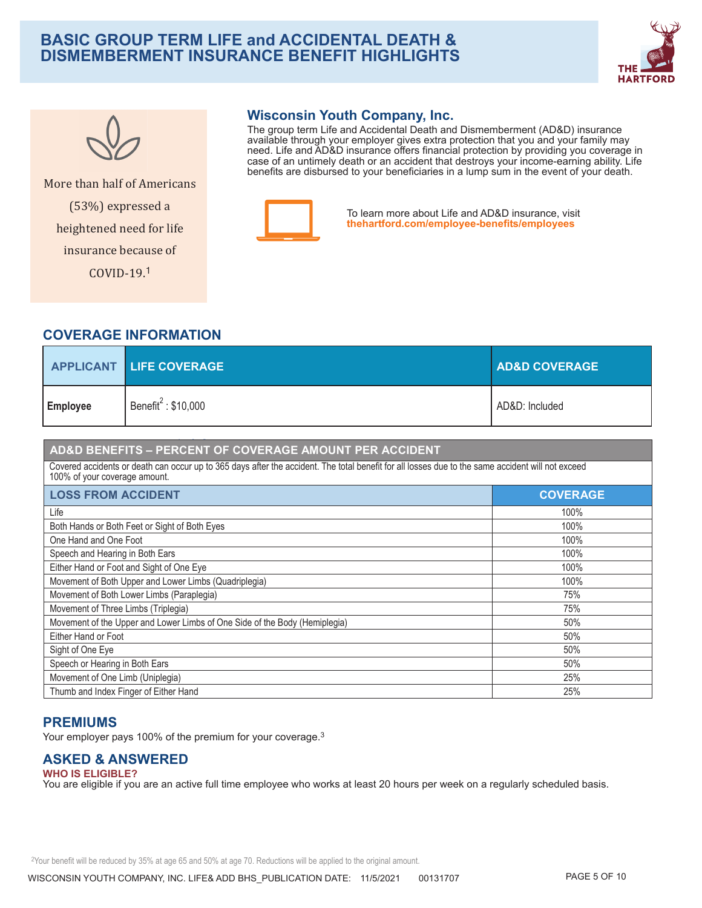# **BASIC GROUP TERM LIFE and ACCIDENTAL DEATH & DISMEMBERMENT INSURANCE BENEFIT HIGHLIGHTS**





More than half of Americans (53%) expressed a

heightened need for life insurance because of  $COVID-19.1$ 

# **Wisconsin Youth Company, Inc.**

The group term Life and Accidental Death and Dismemberment (AD&D) insurance available through your employer gives extra protection that you and your family may<br>need. Life and AD&D insurance offers financial protection by providing you coverage in case of an untimely death or an accident that destroys your income-earning ability. Life<br>benefits are disbursed to your beneficiaries in a lump sum in the event of your death.



To learn more about Life and AD&D insurance, visit thehartford.com/employee-benefits/employees

# **COVERAGE INFORMATION**

|                 | <b>APPLICANT LIFE COVERAGE</b>                  | <b>AD&amp;D COVERAGE</b> |
|-----------------|-------------------------------------------------|--------------------------|
| <b>Employee</b> | Benefit <sup><math>\leq</math></sup> : \$10,000 | AD&D: Included           |

# AD&D BENEFITS - PERCENT OF COVERAGE AMOUNT PER ACCIDENT

Covered accidents or death can occur up to 365 days after the accident. The total benefit for all losses due to the same accident will not exceed 100% of your coverage amount.

| <b>LOSS FROM ACCIDENT</b>                                                  | <b>COVERAGE</b> |
|----------------------------------------------------------------------------|-----------------|
| Life                                                                       | 100%            |
| Both Hands or Both Feet or Sight of Both Eyes                              | 100%            |
| One Hand and One Foot                                                      | 100%            |
| Speech and Hearing in Both Ears                                            | 100%            |
| Either Hand or Foot and Sight of One Eye                                   | 100%            |
| Movement of Both Upper and Lower Limbs (Quadriplegia)                      | 100%            |
| Movement of Both Lower Limbs (Paraplegia)                                  | 75%             |
| Movement of Three Limbs (Triplegia)                                        | 75%             |
| Movement of the Upper and Lower Limbs of One Side of the Body (Hemiplegia) | 50%             |
| Either Hand or Foot                                                        | 50%             |
| Sight of One Eye                                                           | 50%             |
| Speech or Hearing in Both Ears                                             | 50%             |
| Movement of One Limb (Uniplegia)                                           | 25%             |
| Thumb and Index Finger of Either Hand                                      | 25%             |

# **PREMIUMS**

Your employer pays 100% of the premium for your coverage.<sup>3</sup>

# **ASKED & ANSWERED**

**WHO IS ELIGIBLE?** You are eligible if you are an active full time employee who works at least 20 hours per week on a regularly scheduled basis.

<sup>2</sup>Your benefit will be reduced by 35% at age 65 and 50% at age 70. Reductions will be applied to the original amount.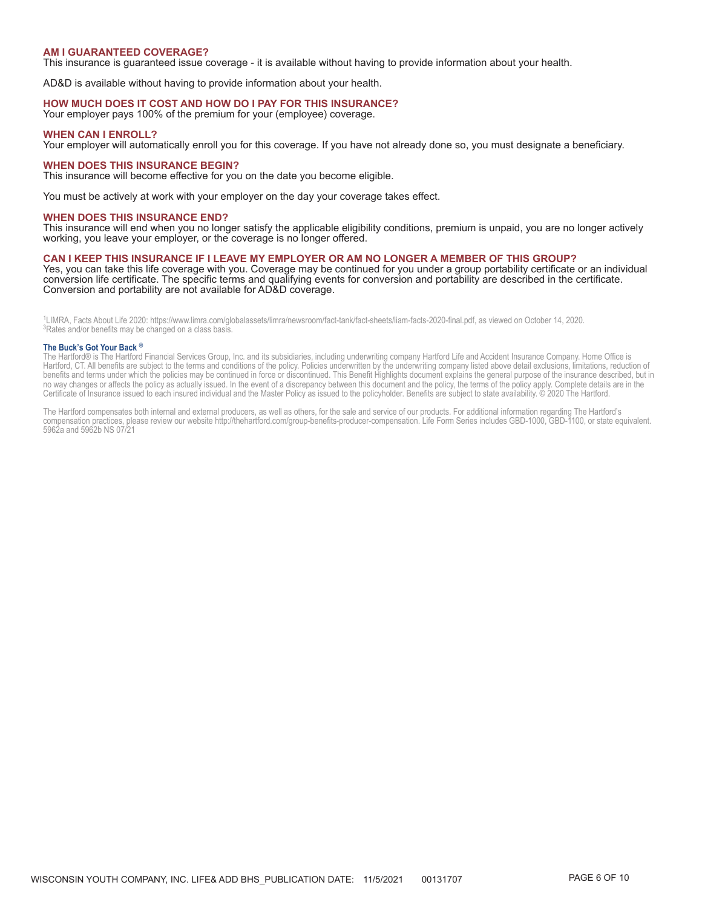### **AM I GUARANTEED COVERAGE?**

This insurance is guaranteed issue coverage - it is available without having to provide information about your health.

AD&D is available without having to provide information about your health.

#### **HOW MUCH DOES IT COST AND HOW DO I PAY FOR THIS INSURANCE?**

Your employer pays 100% of the premium for your (employee) coverage.

#### **WHEN CAN I ENROLL?**

Your employer will automatically enroll you for this coverage. If you have not already done so, you must designate a beneficiary.

#### **WHEN DOES THIS INSURANCE BEGIN?**

This insurance will become effective for you on the date you become eligible.

You must be actively at work with your employer on the day your coverage takes effect.

#### **WHEN DOES THIS INSURANCE END?**

This insurance will end when you no longer satisfy the applicable eligibility conditions, premium is unpaid, you are no longer actively working, you leave your employer, or the coverage is no longer offered.

### **CAN I KEEP THIS INSURANCE IF I LEAVE MY EMPLOYER OR AM NO LONGER A MEMBER OF THIS GROUP?**

Yes, you can take this life coverage with you. Coverage may be continued for you under a group portability certificate or an individual conversion life certificate. The specific terms and qualifying events for conversion and portability are described in the certificate. Conversion and portability are not available for AD&D coverage.

<sup>1</sup>LIMRA, Facts About Life 2020: https://www.limra.com/globalassets/limra/newsroom/fact-tank/fact-sheets/liam-facts-2020-final.pdf, as viewed on October 14, 2020.<br><sup>3</sup>Rates and/or benefits may be changed on a class basis.

#### The Buck's Got Your Back ®

The Hartford® is The Hartford Financial Services Group, Inc. and its subsidiaries, including underwriting company Hartford Life and Accident Insurance Company. Home Office is<br>Hartford, CT. All benefits are subject to the t benefits and terms under which the policies may be continued in force or discontinued. This Benefit Highlights document explains the general purpose of the insurance described, but in no way changes or affects the policy as actually issued. In the event of a discrepancy between this document and the policy, the terms of the policy apply. Complete details are in the Certificate of Insurance issued to each insured individual and the Master Policy as issued to the policyholder. Benefits are subject to state availability. © 2020 The Hartford.

The Hartford compensates both internal and external producers, as well as others, for the sale and service of our products. For additional information regarding The Hartford's compensation practices, please review our website http://thehartford.com/group-benefits-producer-compensation. Life Form Series includes GBD-1000, GBD-1100, or state equivalent. 5962a and 5962b NS 07/21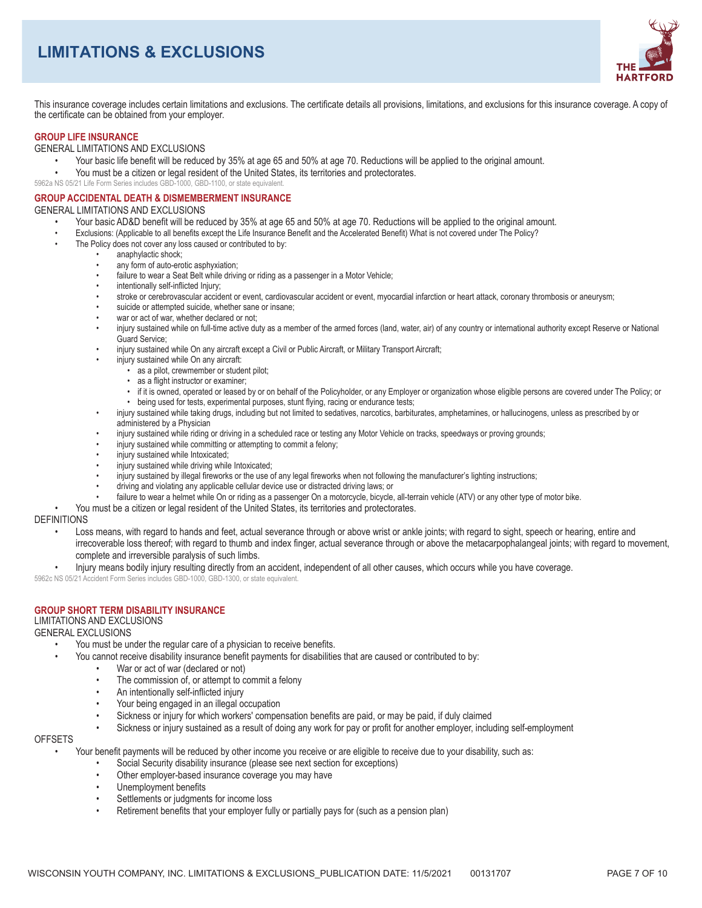# **LIMITATIONS & EXCLUSIONS**



This insurance coverage includes certain limitations and exclusions. The certificate details all provisions, limitations, and exclusions for this insurance coverage. A copy of the certificate can be obtained from your employer.

## **GROUP LIFE INSURANCE**

### GENERAL LIMITATIONS AND EXCLUSIONS

- Your basic life benefit will be reduced by 35% at age 65 and 50% at age 70. Reductions will be applied to the original amount.
- You must be a citizen or legal resident of the United States, its territories and protectorates.
- 5962a NS 05/21 Life Form Series includes GBD-1000, GBD-1100, or state equivalent

### **GROUP ACCIDENTAL DEATH & DISMEMBERMENT INSURANCE**

### **GENERAL LIMITATIONS AND EXCLUSIONS**

- Your basic AD&D benefit will be reduced by 35% at age 65 and 50% at age 70. Reductions will be applied to the original amount.
- Exclusions: (Applicable to all benefits except the Life Insurance Benefit and the Accelerated Benefit) What is not covered under The Policy?
- The Policy does not cover any loss caused or contributed to by:
	- anaphylactic shock;
	- any form of auto-erotic asphyxiation;
	- $\bullet$ failure to wear a Seat Belt while driving or riding as a passenger in a Motor Vehicle;
	- intentionally self-inflicted Injury;
	- stroke or cerebrovascular accident or event, cardiovascular accident or event, myocardial infarction or heart attack, coronary thrombosis or aneurysm;
	- suicide or attempted suicide, whether sane or insane:
	- war or act of war, whether declared or not;
	- injury sustained while on full-time active duty as a member of the armed forces (land, water, air) of any country or international authority except Reserve or National Guard Service:
	- injury sustained while On any aircraft except a Civil or Public Aircraft, or Military Transport Aircraft;
	- injury sustained while On any aircraft:
		- · as a pilot, crewmember or student pilot;
		- as a flight instructor or examiner:
		- if it is owned, operated or leased by or on behalf of the Policyholder, or any Employer or organization whose eligible persons are covered under The Policy; or • being used for tests, experimental purposes, stunt flying, racing or endurance tests;
		- injury sustained while taking drugs, including but not limited to sedatives, narcotics, barbiturates, amphetamines, or hallucinogens, unless as prescribed by or
	- administered by a Physician injury sustained while riding or driving in a scheduled race or testing any Motor Vehicle on tracks, speedways or proving grounds;
	- injury sustained while committing or attempting to commit a felony;
	- injury sustained while Intoxicated;
	- injury sustained while driving while Intoxicated;
	- injury sustained by illegal fireworks or the use of any legal fireworks when not following the manufacturer's lighting instructions:
	- driving and violating any applicable cellular device use or distracted driving laws; or
	- failure to wear a helmet while On or riding as a passenger On a motorcycle, bicycle, all-terrain vehicle (ATV) or any other type of motor bike.
	- You must be a citizen or legal resident of the United States, its territories and protectorates.

### **DEFINITIONS**

- Loss means, with regard to hands and feet, actual severance through or above wrist or ankle joints; with regard to sight, speech or hearing, entire and irrecoverable loss thereof; with regard to thumb and index finger, actual severance through or above the metacarpophalangeal joints; with regard to movement, complete and irreversible paralysis of such limbs.
- Injury means bodily injury resulting directly from an accident, independent of all other causes, which occurs while you have coverage.

5962c NS 05/21 Accident Form Series includes GBD-1000, GBD-1300, or state equivalent

# **GROUP SHORT TERM DISARILITY INSURANCE**

# **LIMITATIONS AND EXCLUSIONS**

## **GENERAL EXCLUSIONS**

- You must be under the regular care of a physician to receive benefits.
	- You cannot receive disability insurance benefit payments for disabilities that are caused or contributed to by:
		- War or act of war (declared or not)
		- $\ddot{\phantom{a}}$ The commission of, or attempt to commit a felony
		- $\bullet$ An intentionally self-inflicted injury
		- Your being engaged in an illegal occupation
		- Sickness or injury for which workers' compensation benefits are paid, or may be paid, if duly claimed
		- Sickness or injury sustained as a result of doing any work for pay or profit for another employer, including self-employment

#### **OFFSETS**

Your benefit payments will be reduced by other income you receive or are eligible to receive due to your disability, such as:

- Social Security disability insurance (please see next section for exceptions)
- Other employer-based insurance coverage you may have  $\ddot{\phantom{0}}$
- $\ddot{\phantom{a}}$ Unemployment benefits
- $\ddot{\phantom{a}}$ Settlements or judgments for income loss
- Retirement benefits that your employer fully or partially pays for (such as a pension plan)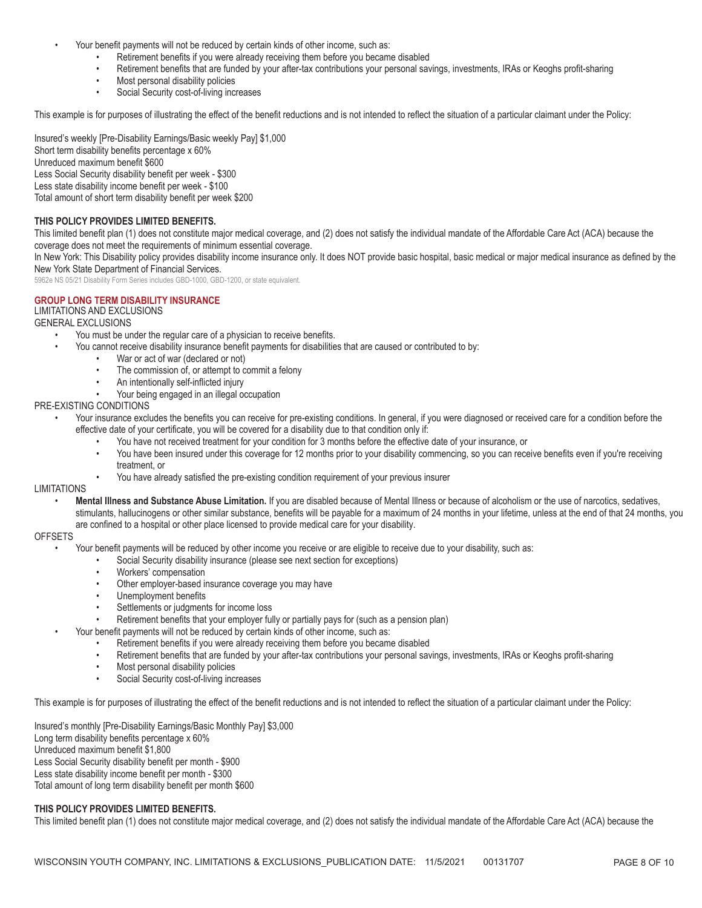- Your benefit payments will not be reduced by certain kinds of other income, such as:
	- Retirement benefits if you were already receiving them before you became disabled
	- Retirement benefits that are funded by your after-tax contributions your personal savings, investments, IRAs or Keoghs profit-sharing
	- $\bullet$ Most personal disability policies
	- Social Security cost-of-living increases  $\bullet$

This example is for purposes of illustrating the effect of the benefit reductions and is not intended to reflect the situation of a particular claimant under the Policy:

Insured's weekly [Pre-Disability Earnings/Basic weekly Pay] \$1,000 Short term disability benefits percentage x 60% Unreduced maximum benefit \$600 Less Social Security disability benefit per week - \$300 Less state disability income benefit per week - \$100 Total amount of short term disability benefit per week \$200

## THIS POLICY PROVIDES LIMITED BENEFITS.

This limited benefit plan (1) does not constitute major medical coverage, and (2) does not satisfy the individual mandate of the Affordable Care Act (ACA) because the coverage does not meet the requirements of minimum essential coverage.

In New York: This Disability policy provides disability income insurance only. It does NOT provide basic hospital, basic medical or major medical insurance as defined by the New York State Department of Financial Services.

5962e NS 05/21 Disability Form Series includes GBD-1000, GBD-1200, or state equivalent.

### **GROUP LONG TERM DISABILITY INSURANCE**

## **LIMITATIONS AND EXCLUSIONS**

**GENERAL EXCLUSIONS** 

- You must be under the regular care of a physician to receive benefits.
	- You cannot receive disability insurance benefit payments for disabilities that are caused or contributed to by:
		- War or act of war (declared or not)
		- $\bullet$ The commission of, or attempt to commit a felony
		- $\bullet$ An intentionally self-inflicted injury
		- Your being engaged in an illegal occupation
- PRE-EXISTING CONDITIONS Your insurance excludes the benefits you can receive for pre-existing conditions. In general, if you were diagnosed or received care for a condition before the
	- effective date of your certificate, you will be covered for a disability due to that condition only if:
		- You have not received treatment for your condition for 3 months before the effective date of your insurance, or
		- $\bullet$ You have been insured under this coverage for 12 months prior to your disability commencing, so you can receive benefits even if you're receiving treatment, or
		- You have already satisfied the pre-existing condition requirement of your previous insurer

## **I IMITATIONS**

Mental Illness and Substance Abuse Limitation. If you are disabled because of Mental Illness or because of alcoholism or the use of narcotics, sedatives, stimulants, hallucinogens or other similar substance, benefits will be payable for a maximum of 24 months in your lifetime, unless at the end of that 24 months, you are confined to a hospital or other place licensed to provide medical care for your disability.

## **OFFSETS**

- Your benefit payments will be reduced by other income you receive or are eligible to receive due to your disability, such as:
	- Social Security disability insurance (please see next section for exceptions)
		- Workers' compensation
	- $\ddot{\phantom{a}}$ Other employer-based insurance coverage you may have
	- Unemployment benefits  $\bullet$
	- Settlements or judgments for income loss  $\blacksquare$
	- Retirement benefits that your employer fully or partially pays for (such as a pension plan)
- Your benefit payments will not be reduced by certain kinds of other income, such as:
	- Retirement benefits if you were already receiving them before you became disabled
	- $\ddot{\phantom{a}}$ Retirement benefits that are funded by your after-tax contributions your personal savings, investments, IRAs or Keoghs profit-sharing
	- $\bullet$ Most personal disability policies
	- Social Security cost-of-living increases

This example is for purposes of illustrating the effect of the benefit reductions and is not intended to reflect the situation of a particular claimant under the Policy:

Insured's monthly [Pre-Disability Earnings/Basic Monthly Pay] \$3,000 Long term disability benefits percentage x 60% Unreduced maximum benefit \$1,800 Less Social Security disability benefit per month - \$900 Less state disability income benefit per month - \$300 Total amount of long term disability benefit per month \$600

### THIS POLICY PROVIDES LIMITED BENEFITS.

This limited benefit plan (1) does not constitute major medical coverage, and (2) does not satisfy the individual mandate of the Affordable Care Act (ACA) because the